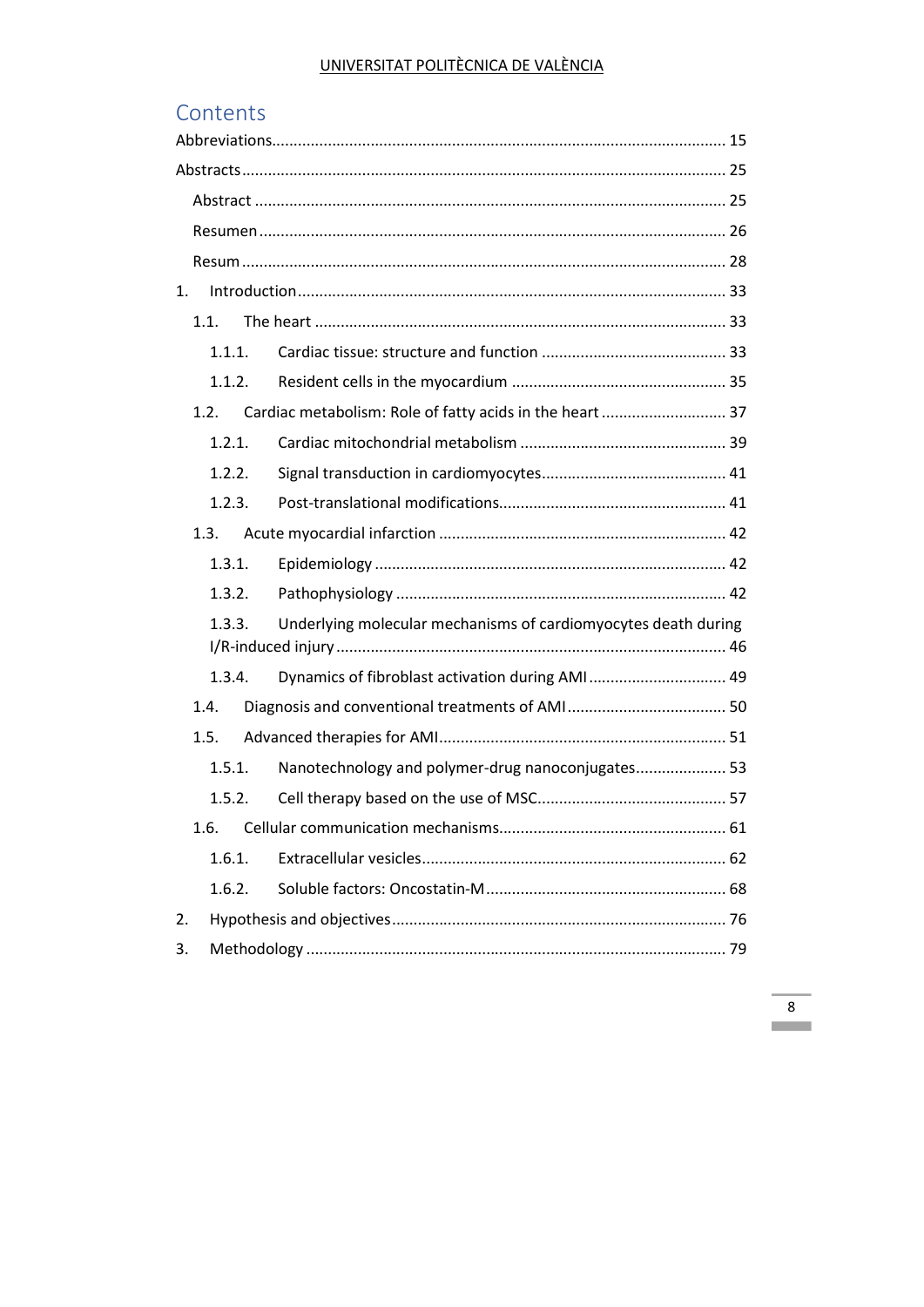# Contents

| 1. |        |                                                                |  |  |
|----|--------|----------------------------------------------------------------|--|--|
|    | 1.1.   |                                                                |  |  |
|    | 1.1.1. |                                                                |  |  |
|    | 1.1.2. |                                                                |  |  |
|    | 1.2.   | Cardiac metabolism: Role of fatty acids in the heart  37       |  |  |
|    | 1.2.1. |                                                                |  |  |
|    | 1.2.2. |                                                                |  |  |
|    | 1.2.3. |                                                                |  |  |
|    | 1.3.   |                                                                |  |  |
|    | 1.3.1. |                                                                |  |  |
|    | 1.3.2. |                                                                |  |  |
|    | 1.3.3. | Underlying molecular mechanisms of cardiomyocytes death during |  |  |
|    | 1.3.4. | Dynamics of fibroblast activation during AMI 49                |  |  |
|    | 1.4.   |                                                                |  |  |
|    | 1.5.   |                                                                |  |  |
|    | 1.5.1. | Nanotechnology and polymer-drug nanoconjugates 53              |  |  |
|    |        |                                                                |  |  |
|    | 1.6.   |                                                                |  |  |
|    | 1.6.1. |                                                                |  |  |
|    | 1.6.2. |                                                                |  |  |
| 2. |        |                                                                |  |  |
| 3. |        |                                                                |  |  |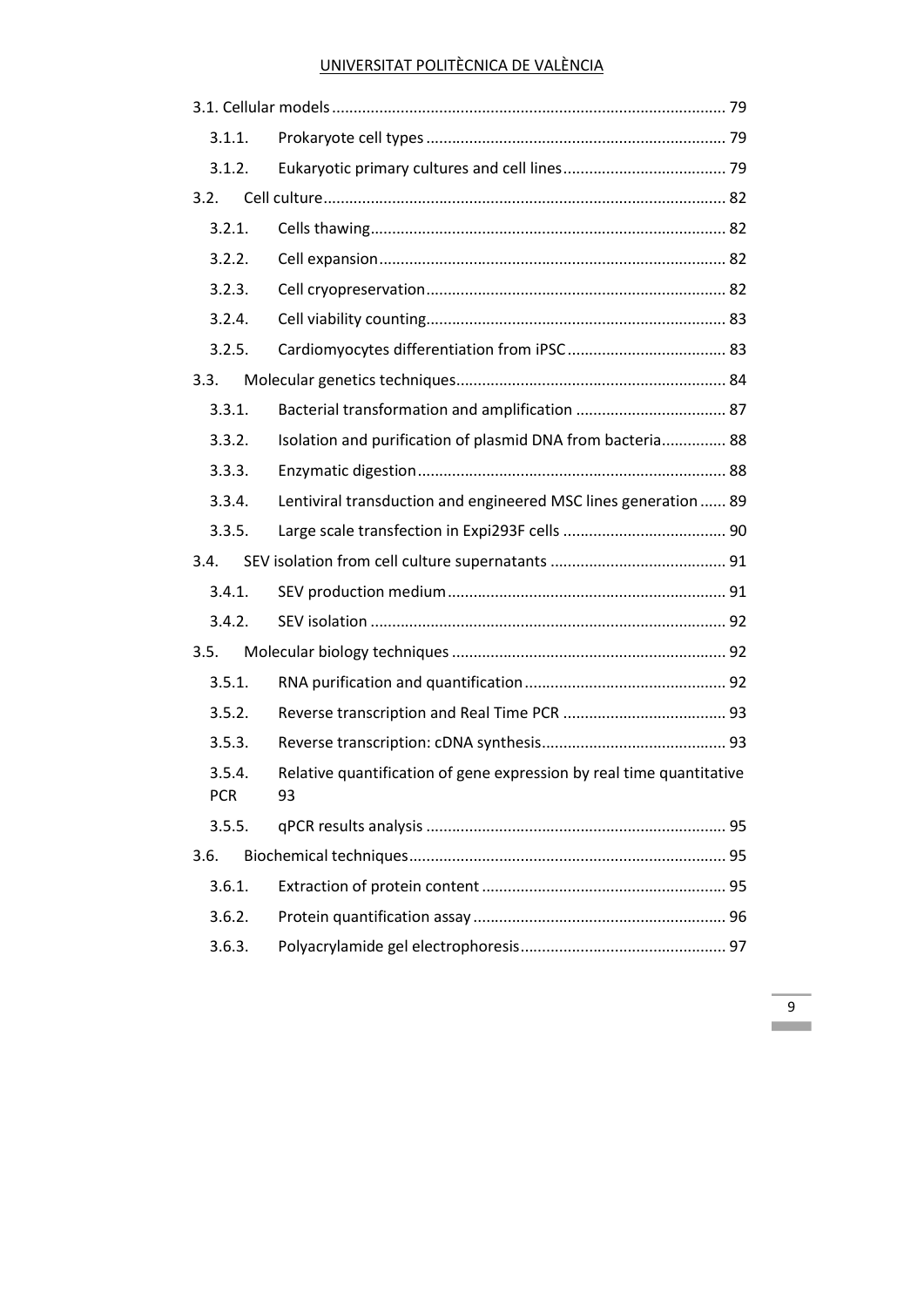| 3.1.1.        |                                                                            |  |  |
|---------------|----------------------------------------------------------------------------|--|--|
| 3.1.2.        |                                                                            |  |  |
| 3.2.          |                                                                            |  |  |
| 3.2.1.        |                                                                            |  |  |
| 3.2.2.        |                                                                            |  |  |
| 3.2.3.        |                                                                            |  |  |
| 3.2.4.        |                                                                            |  |  |
| 3.2.5.        |                                                                            |  |  |
| 3.3.          |                                                                            |  |  |
| 3.3.1.        |                                                                            |  |  |
| 3.3.2.        | Isolation and purification of plasmid DNA from bacteria 88                 |  |  |
| 3.3.3.        |                                                                            |  |  |
| 3.3.4.        | Lentiviral transduction and engineered MSC lines generation  89            |  |  |
| 3.3.5.        |                                                                            |  |  |
| 3.4.          |                                                                            |  |  |
| 3.4.1.        |                                                                            |  |  |
| 3.4.2.        |                                                                            |  |  |
| 3.5.          |                                                                            |  |  |
| 3.5.1.        |                                                                            |  |  |
| 3.5.2.        |                                                                            |  |  |
| 3.5.3.        |                                                                            |  |  |
| 3.5.4.<br>PCR | Relative quantification of gene expression by real time quantitative<br>93 |  |  |
| 3.5.5.        |                                                                            |  |  |
| 3.6.          |                                                                            |  |  |
| 3.6.1.        |                                                                            |  |  |
| 3.6.2.        |                                                                            |  |  |
| 3.6.3.        |                                                                            |  |  |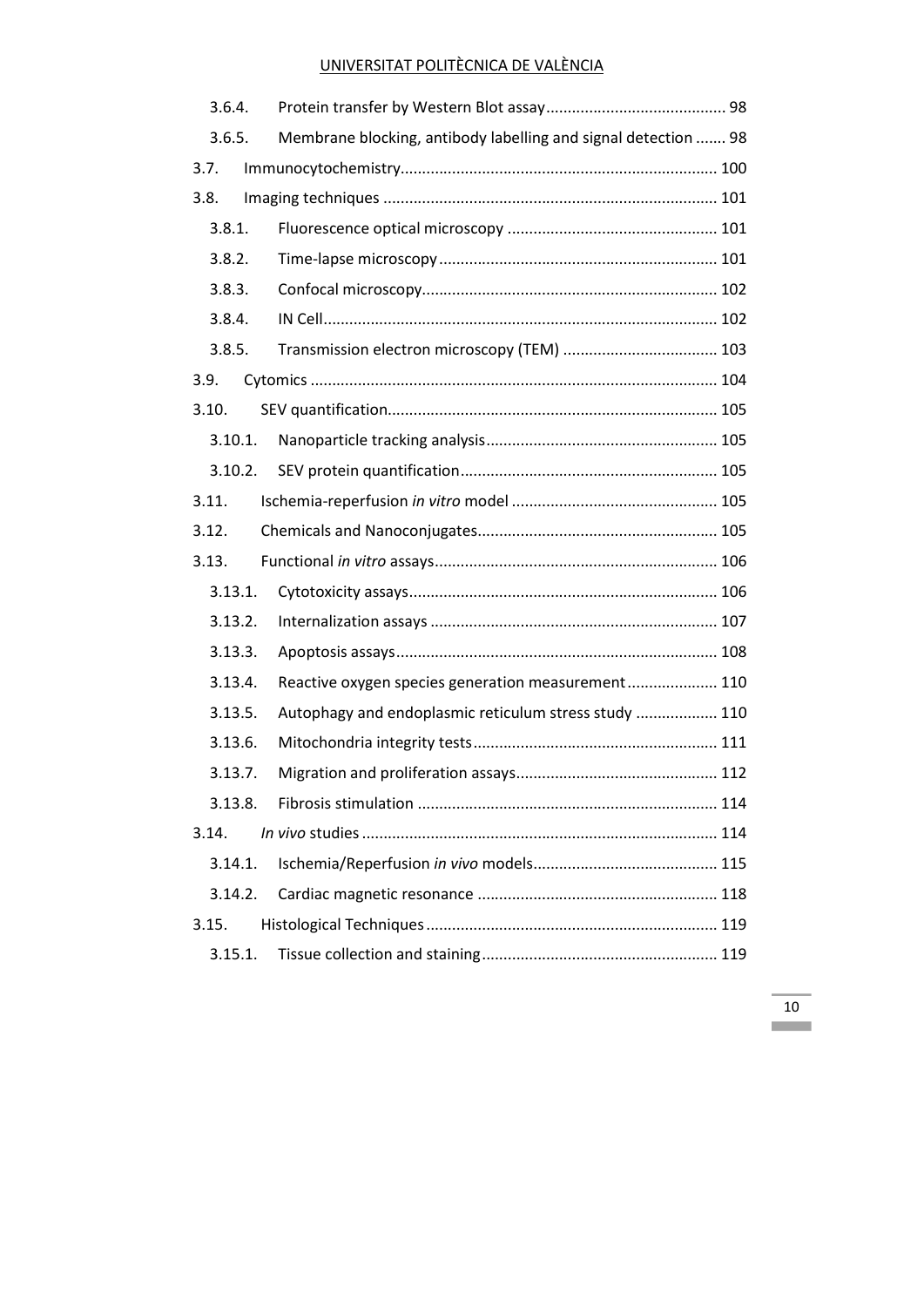| 3.6.4. |         |                                                                |  |
|--------|---------|----------------------------------------------------------------|--|
| 3.6.5. |         | Membrane blocking, antibody labelling and signal detection  98 |  |
| 3.7.   |         |                                                                |  |
| 3.8.   |         |                                                                |  |
|        | 3.8.1.  |                                                                |  |
| 3.8.2. |         |                                                                |  |
| 3.8.3. |         |                                                                |  |
| 3.8.4. |         |                                                                |  |
| 3.8.5. |         |                                                                |  |
| 3.9.   |         |                                                                |  |
| 3.10.  |         |                                                                |  |
|        | 3.10.1. |                                                                |  |
|        | 3.10.2. |                                                                |  |
| 3.11.  |         |                                                                |  |
| 3.12.  |         |                                                                |  |
| 3.13.  |         |                                                                |  |
|        | 3.13.1. |                                                                |  |
|        | 3.13.2. |                                                                |  |
|        | 3.13.3. |                                                                |  |
|        | 3.13.4. | Reactive oxygen species generation measurement 110             |  |
|        | 3.13.5. | Autophagy and endoplasmic reticulum stress study  110          |  |
|        | 3.13.6. |                                                                |  |
|        | 3.13.7. |                                                                |  |
|        | 3.13.8. |                                                                |  |
| 3.14.  |         |                                                                |  |
|        | 3.14.1. |                                                                |  |
|        | 3.14.2. |                                                                |  |
| 3.15.  |         |                                                                |  |
|        | 3.15.1. |                                                                |  |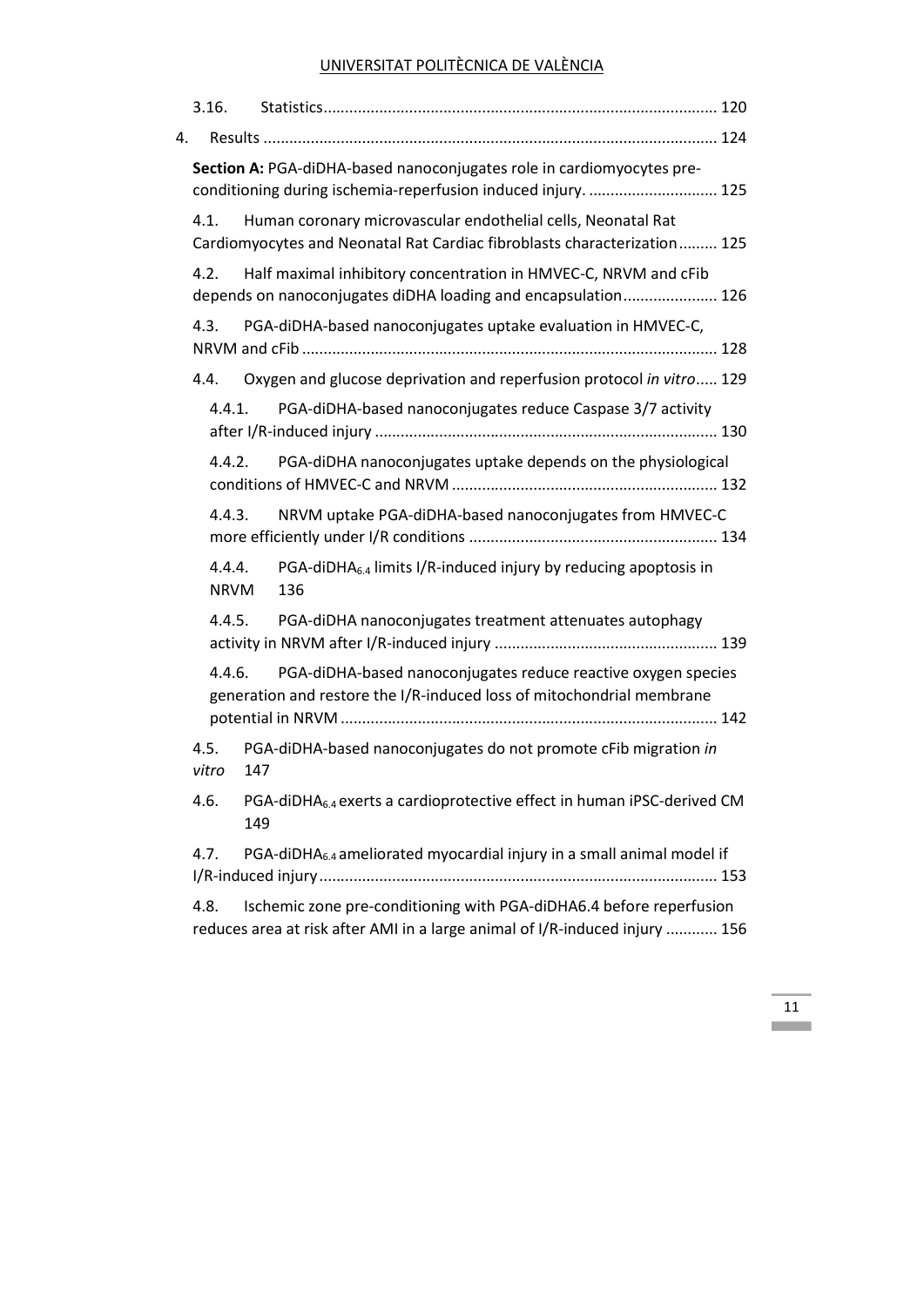|                                                                                                                                                  | 3.16.                 |                                                                                                                                                    |
|--------------------------------------------------------------------------------------------------------------------------------------------------|-----------------------|----------------------------------------------------------------------------------------------------------------------------------------------------|
| 4.                                                                                                                                               |                       |                                                                                                                                                    |
|                                                                                                                                                  |                       | Section A: PGA-diDHA-based nanoconjugates role in cardiomyocytes pre-<br>conditioning during ischemia-reperfusion induced injury.  125             |
|                                                                                                                                                  | 4.1.                  | Human coronary microvascular endothelial cells, Neonatal Rat<br>Cardiomyocytes and Neonatal Rat Cardiac fibroblasts characterization 125           |
|                                                                                                                                                  | 4.2.                  | Half maximal inhibitory concentration in HMVEC-C, NRVM and cFib<br>depends on nanoconjugates diDHA loading and encapsulation 126                   |
|                                                                                                                                                  | 4.3.                  | PGA-diDHA-based nanoconjugates uptake evaluation in HMVEC-C,                                                                                       |
|                                                                                                                                                  | 4.4.                  | Oxygen and glucose deprivation and reperfusion protocol in vitro 129                                                                               |
|                                                                                                                                                  | 4.4.1.                | PGA-diDHA-based nanoconjugates reduce Caspase 3/7 activity                                                                                         |
|                                                                                                                                                  | 4.4.2.                | PGA-diDHA nanoconjugates uptake depends on the physiological                                                                                       |
|                                                                                                                                                  | 4.4.3.                | NRVM uptake PGA-diDHA-based nanoconjugates from HMVEC-C                                                                                            |
|                                                                                                                                                  | 4.4.4.<br><b>NRVM</b> | PGA-diDHA <sub>6.4</sub> limits I/R-induced injury by reducing apoptosis in<br>136                                                                 |
|                                                                                                                                                  | 4.4.5.                | PGA-diDHA nanoconjugates treatment attenuates autophagy                                                                                            |
| 4.4.6.<br>PGA-diDHA-based nanoconjugates reduce reactive oxygen species<br>generation and restore the I/R-induced loss of mitochondrial membrane |                       |                                                                                                                                                    |
|                                                                                                                                                  | 4.5.<br>vitro         | PGA-diDHA-based nanoconjugates do not promote cFib migration in<br>147                                                                             |
|                                                                                                                                                  | 4.6.                  | PGA-diDHA <sub>6.4</sub> exerts a cardioprotective effect in human iPSC-derived CM<br>149                                                          |
|                                                                                                                                                  | 4.7.                  | PGA-diDHA <sub>6.4</sub> ameliorated myocardial injury in a small animal model if                                                                  |
|                                                                                                                                                  | 4.8.                  | Ischemic zone pre-conditioning with PGA-diDHA6.4 before reperfusion<br>reduces area at risk after AMI in a large animal of I/R-induced injury  156 |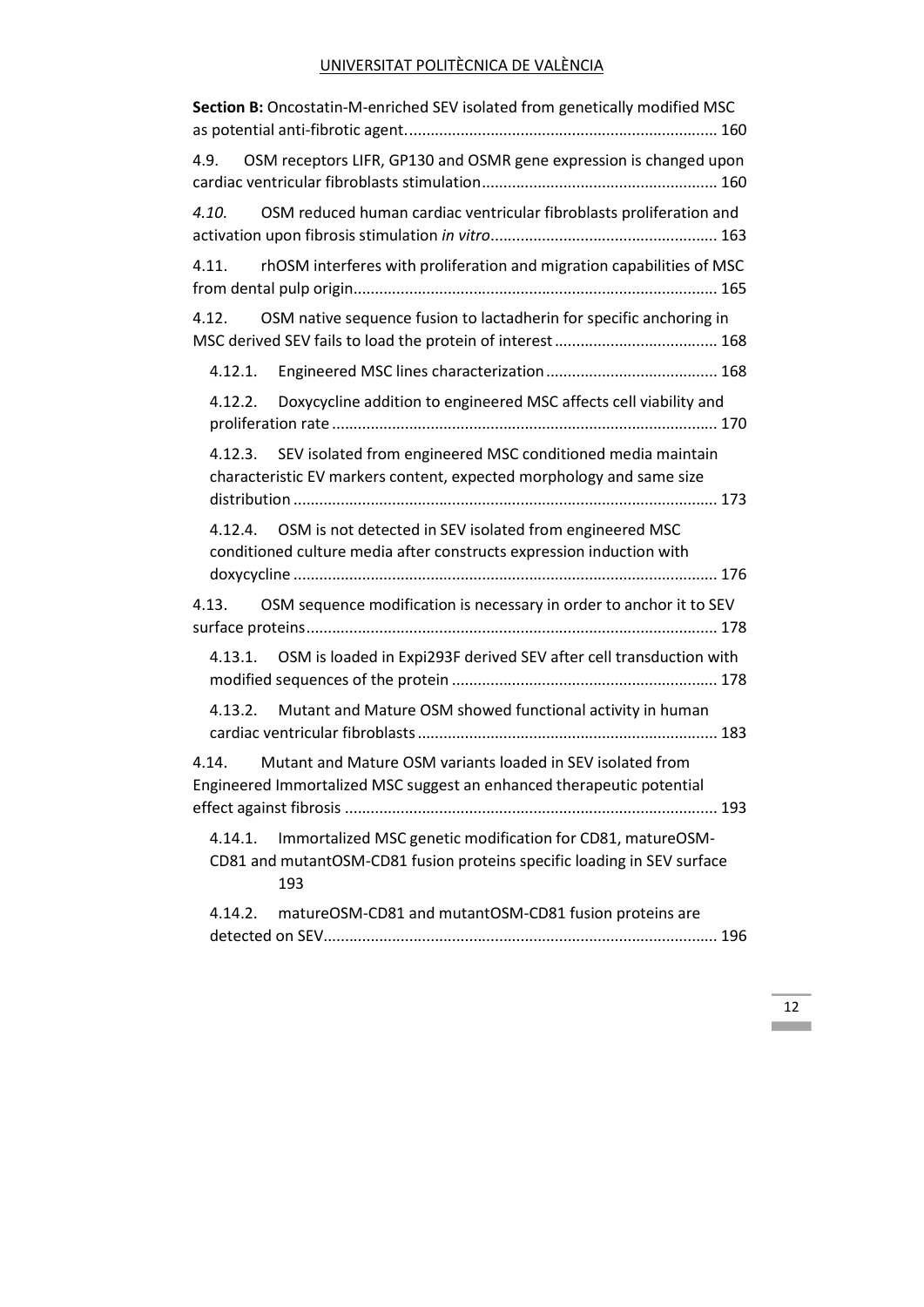| Section B: Oncostatin-M-enriched SEV isolated from genetically modified MSC                                                                             |  |  |  |  |  |  |
|---------------------------------------------------------------------------------------------------------------------------------------------------------|--|--|--|--|--|--|
| 4.9. OSM receptors LIFR, GP130 and OSMR gene expression is changed upon                                                                                 |  |  |  |  |  |  |
| 4.10. OSM reduced human cardiac ventricular fibroblasts proliferation and                                                                               |  |  |  |  |  |  |
| rhOSM interferes with proliferation and migration capabilities of MSC<br>4.11.                                                                          |  |  |  |  |  |  |
| OSM native sequence fusion to lactadherin for specific anchoring in<br>4.12.                                                                            |  |  |  |  |  |  |
|                                                                                                                                                         |  |  |  |  |  |  |
| 4.12.2. Doxycycline addition to engineered MSC affects cell viability and                                                                               |  |  |  |  |  |  |
| SEV isolated from engineered MSC conditioned media maintain<br>4.12.3.<br>characteristic EV markers content, expected morphology and same size          |  |  |  |  |  |  |
| 4.12.4. OSM is not detected in SEV isolated from engineered MSC<br>conditioned culture media after constructs expression induction with                 |  |  |  |  |  |  |
| 4.13. OSM sequence modification is necessary in order to anchor it to SEV                                                                               |  |  |  |  |  |  |
| 4.13.1. OSM is loaded in Expi293F derived SEV after cell transduction with                                                                              |  |  |  |  |  |  |
| Mutant and Mature OSM showed functional activity in human<br>4.13.2.                                                                                    |  |  |  |  |  |  |
| Mutant and Mature OSM variants loaded in SEV isolated from<br>4.14.<br>Engineered Immortalized MSC suggest an enhanced therapeutic potential            |  |  |  |  |  |  |
| Immortalized MSC genetic modification for CD81, matureOSM-<br>4.14.1.<br>CD81 and mutantOSM-CD81 fusion proteins specific loading in SEV surface<br>193 |  |  |  |  |  |  |
| 4.14.2.<br>matureOSM-CD81 and mutantOSM-CD81 fusion proteins are                                                                                        |  |  |  |  |  |  |